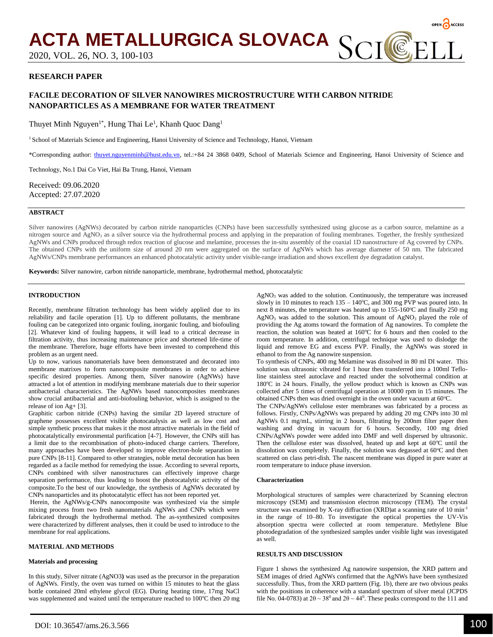

# **RESEARCH PAPER**

# **FACILE DECORATION OF SILVER NANOWIRES MICROSTRUCTURE WITH CARBON NITRIDE NANOPARTICLES AS A MEMBRANE FOR WATER TREATMENT**

Thuyet Minh Nguyen<sup>1\*</sup>, Hung Thai Le<sup>1</sup>, Khanh Quoc Dang<sup>1</sup>

<sup>1</sup> School of Materials Science and Engineering, Hanoi University of Science and Technology, Hanoi, Vietnam

\*Corresponding author: [thuyet.nguyenminh@hust.edu.vn,](../../../../rober/AppData/Local/Temp/thuyet.nguyenminh@hust.edu.vn) tel.:+84 24 3868 0409, School of Materials Science and Engineering, Hanoi University of Science and

Technology, No.1 Dai Co Viet, Hai Ba Trung, Hanoi, Vietnam

Received: 09.06.2020 Accepted: 27.07.2020

## **ABSTRACT**

Silver nanowires (AgNWs) decorated by carbon nitride nanoparticles (CNPs) have been successfully synthesized using glucose as a carbon source, melamine as a nitrogen source and AgNO<sub>3</sub> as a silver source via the hydrothermal process and applying in the preparation of fouling membranes. Together, the freshly synthesized AgNWs and CNPs produced through redox reaction of glucose and melamine, processes the in-situ assembly of the coaxial 1D nanostructure of Ag covered by CNPs. The obtained CNPs with the uniform size of around 20 nm were aggregated on the surface of AgNWs which has average diameter of 50 nm. The fabricated AgNWs/CNPs membrane performances an enhanced photocatalytic activity under visible-range irradiation and shows excellent dye degradation catalyst.

**Keywords:** Silver nanowire, carbon nitride nanoparticle, membrane, hydrothermal method, photocatalytic

## **INTRODUCTION**

Recently, membrane filtration technology has been widely applied due to its reliability and facile operation [\[1\]](#page-2-0). Up to different pollutants, the membrane fouling can be categorized into organic fouling, inorganic fouling, and biofouling [\[2\]](#page-2-1). Whatever kind of fouling happens, it will lead to a critical decrease in filtration activity, thus increasing maintenance price and shortened life-time of the membrane. Therefore, huge efforts have been invested to comprehend this problem as an urgent need.

Up to now, various nanomaterials have been demonstrated and decorated into membrane matrixes to form nanocomposite membranes in order to achieve specific desired properties. Among them, Silver nanowire (AgNWs) have attracted a lot of attention in modifying membrane materials due to their superior antibacterial characteristics. The AgNWs based nanocomposites membranes show crucial antibacterial and anti-biofouling behavior, which is assigned to the release of ion Ag+ [\[3\]](#page-2-2).

Graphitic carbon nitride (CNPs) having the similar 2D layered structure of graphene possesses excellent visible photocatalysis as well as low cost and simple synthetic process that makes it the most attractive materials in the field of photocatalytically environmental purification [\[4-7\]](#page-2-3). However, the CNPs still has a limit due to the recombination of photo-induced charge carriers. Therefore, many approaches have been developed to improve electron-hole separation in pure CNPs [\[8-11\]](#page-2-4). Compared to other strategies, noble metal decoration has been regarded as a facile method for remedying the issue. According to several reports, CNPs combined with silver nanostructures can effectively improve charge separation performance, thus leading to boost the photocatalytic activity of the composite.To the best of our knowledge, the synthesis of AgNWs decorated by CNPs nanoparticles and its photocatalytic effect has not been reported yet.

Herein, the AgNWs/g-CNPs nanocomposite was synthesized via the simple mixing process from two fresh nanomaterials AgNWs and CNPs which were fabricated through the hydrothermal method. The as-synthesized composites were characterized by different analyses, then it could be used to introduce to the membrane for real applications.

# **MATERIAL AND METHODS**

### **Materials and processing**

In this study, Silver nitrate (AgNO3**)** was used as the precursor in the preparation of AgNWs. Firstly, the oven was turned on within 15 minutes to heat the glass bottle contained 20ml ethylene glycol (EG). During heating time, 17mg NaCl was supplemented and waited until the temperature reached to  $100^{\circ}$ C then 20 mg

AgNO<sup>3</sup> was added to the solution. Continuously, the temperature was increased slowly in 10 minutes to reach  $135 - 140^{\circ}$ C, and 300 mg PVP was poured into. In next 8 minutes, the temperature was heated up to  $155-160^{\circ}$ C and finally 250 mg  $AgNO<sub>3</sub>$  was added to the solution. This amount of  $AgNO<sub>3</sub>$  played the role of providing the Ag atoms toward the formation of Ag nanowires. To complete the reaction, the solution was heated at  $160^{\circ}$ C for 6 hours and then cooled to the room temperature. In addition, centrifugal technique was used to dislodge the liquid and remove EG and excess PVP. Finally, the AgNWs was stored in ethanol to from the Ag nanowire suspension.

To synthesis of CNPs, 400 mg Melamine was dissolved in 80 ml DI water. This solution was ultrasonic vibrated for 1 hour then transferred into a 100ml Tefloline stainless steel autoclave and reacted under the solvothermal condition at 180°C in 24 hours. Finally, the yellow product which is known as CNPs was collected after 5 times of centrifugal operation at 10000 rpm in 15 minutes. The obtained CNPs then was dried overnight in the oven under vacuum at  $60^{\circ}$ C.

The CNPs/AgNWs cellulose ester membranes was fabricated by a process as follows. Firstly, CNPs/AgNWs was prepared by adding 20 mg CNPs into 30 ml AgNWs 0.1 mg/mL, stirring in 2 hours, filtrating by 200nm filter paper then washing and drying in vacuum for 6 hours. Secondly, 100 mg dried CNPs/AgNWs powder were added into DMF and well dispersed by ultrasonic. Then the cellulose ester was dissolved, heated up and kept at  $60^{\circ}$ C until the dissolution was completely. Finally, the solution was degassed at  $60^{\circ}$ C and then scattered on class petri-dish. The nascent membrane was dipped in pure water at room temperature to induce phase inversion.

#### **Characterization**

Morphological structures of samples were characterized by Scanning electron microscopy (SEM) and transmission electron microscopy (TEM). The crystal structure was examined by X-ray diffraction (XRD)at a scanning rate of 10 min-1 in the range of 10–80. To investigate the optical properties the UV-Vis absorption spectra were collected at room temperature. Methylene Blue photodegradation of the synthesized samples under visible light was investigated as well.

### **RESULTS AND DISCUSSION**

Figure 1 shows the synthesized Ag nanowire suspension, the XRD pattern and SEM images of dried AgNWs confirmed that the AgNWs have been synthesized successfully. Thus, from the XRD parttern (Fig. 1b), there are two obvious peaks with the positions in coherence with a standard spectrum of silver metal (JCPDS file No. 04-0783) at  $2\theta \sim 38^{\circ}$  and  $2\theta \sim 44^{\circ}$ . These peaks correspond to the 111 and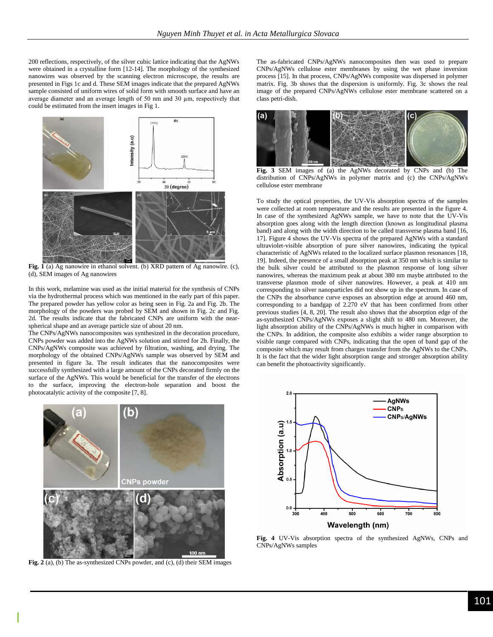200 reflections, respectively, of the silver cubic lattice indicating that the AgNWs were obtained in a crystalline form [\[12-14\]](#page-2-5). The morphology of the synthesized nanowires was observed by the scanning electron microscope, the results are presented in Figs 1c and d. These SEM images indicate that the prepared AgNWs sample consisted of uniform wires of solid form with smooth surface and have an average diameter and an average length of 50 nm and 30 µm, respectively that could be estimated from the insert images in Fig 1.



**Fig. 1** (a) Ag nanowire in ethanol solvent. (b) XRD pattern of Ag nanowire. (c), (d), SEM images of Ag nanowires

In this work, melamine was used as the initial material for the synthesis of CNPs via the hydrothermal process which was mentioned in the early part of this paper. The prepared powder has yellow color as being seen in Fig. 2a and Fig. 2b. The morphology of the powders was probed by SEM and shown in Fig. 2c and Fig. 2d. The results indicate that the fabricated CNPs are uniform with the nearspherical shape and an average particle size of about 20 nm.

The CNPs/AgNWs nanocomposites was synthesized in the decoration procedure, CNPs powder was added into the AgNWs solution and stirred for 2h. Finally, the CNPs/AgNWs composite was achieved by filtration, washing, and drying. The morphology of the obtained CNPs/AgNWs sample was observed by SEM and presented in figure 3a. The result indicates that the nanocomposites were successfully synthesized with a large amount of the CNPs decorated firmly on the surface of the AgNWs. This would be beneficial for the transfer of the electrons to the surface, improving the electron-hole separation and boost the photocatalytic activity of the composite [7, 8].



**Fig. 2** (a), (b) The as-synthesized CNPs powder, and (c), (d) their SEM images

The as-fabricated CNPs/AgNWs nanocomposites then was used to prepare CNPs/AgNWs cellulose ester membranes by using the wet phase inversion process [\[15\]](#page-2-6). In that process, CNPs/AgNWs composite was dispersed in polymer matrix. Fig. 3b shows that the dispersion is uniformly. Fig. 3c shows the real image of the prepared CNPs/AgNWs cellulose ester membrane scattered on a class petri-dish.



**Fig. 3** SEM images of (a) the AgNWs decorated by CNPs and (b) The distribution of CNPs/AgNWs in polymer matrix and (c) the CNPs/AgNWs cellulose ester membrane

To study the optical properties, the UV-Vis absorption spectra of the samples were collected at room temperature and the results are presented in the figure 4. In case of the synthesized AgNWs sample, we have to note that the UV-Vis absorption goes along with the length direction (known as longitudinal plasma band) and along with the width direction to be called transverse plasma band [\[16,](#page-2-7) [17\]](#page-2-8). Figure 4 shows the UV-Vis spectra of the prepared AgNWs with a standard ultraviolet-visible absorption of pure silver nanowires, indicating the typical characteristic of AgNWs related to the localized surface plasmon resonances [\[18,](#page-2-9) [19\]](#page-2-10). Indeed, the presence of a small absorption peak at 350 nm which is similar to the bulk silver could be attributed to the plasmon response of long silver nanowires, whereas the maximum peak at about 380 nm maybe attributed to the transverse plasmon mode of silver nanowires. However, a peak at 410 nm corresponding to silver nanoparticles did not show up in the spectrum. In case of the CNPs the absorbance curve exposes an absorption edge at around 460 nm, corresponding to a bandgap of 2.270 eV that has been confirmed from other previous studies [\[4,](#page-2-3) [8,](#page-2-4) [20\]](#page-3-0). The result also shows that the absorption edge of the as-synthesized CNPs/AgNWs exposes a slight shift to 480 nm. Moreover, the light absorption ability of the CNPs/AgNWs is much higher in comparison with the CNPs. In addition, the composite also exhibits a wider range absorption to visible range compared with CNPs, indicating that the open of band gap of the composite which may result from charges transfer from the AgNWs to the CNPs. It is the fact that the wider light absorption range and stronger absorption ability can benefit the photoactivity significantly.



**Fig. 4** UV-Vis absorption spectra of the synthesized AgNWs, CNPs and CNPs/AgNWs samples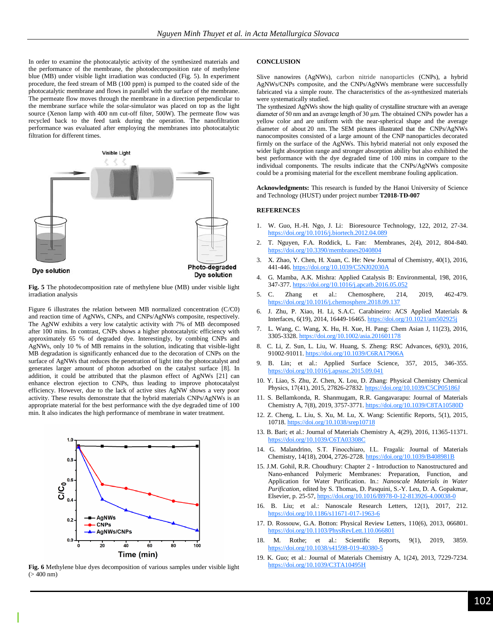In order to examine the photocatalytic activity of the synthesized materials and the performance of the membrane, the photodecomposition rate of methylene blue (MB) under visible light irradiation was conducted (Fig. 5). In experiment procedure, the feed stream of MB (100 ppm) is pumped to the coated side of the photocatalytic membrane and flows in parallel with the surface of the membrane. The permeate flow moves through the membrane in a direction perpendicular to the membrane surface while the solar-simulator was placed on top as the light source (Xenon lamp with 400 nm cut-off filter, 500W). The permeate flow was recycled back to the feed tank during the operation. The nanofiltration performance was evaluated after employing the membranes into photocatalytic filtration for different times.



**Fig. 5** The photodecomposition rate of methylene blue (MB) under visible light irradiation analysis

Figure 6 illustrates the relation between MB normalized concentration (C/C0) and reaction time of AgNWs, CNPs, and CNPs/AgNWs composite, respectively. The AgNW exhibits a very low catalytic activity with 7% of MB decomposed after 100 mins. In contrast, CNPs shows a higher photocatalytic efficiency with approximately 65 % of degraded dye. Interestingly, by combing CNPs and AgNWs, only 10 % of MB remains in the solution, indicating that visible-light MB degradation is significantly enhanced due to the decoration of CNPs on the surface of AgNWs that reduces the penetration of light into the photocatalyst and generates larger amount of photon adsorbed on the catalyst surface [\[8\]](#page-2-4). In addition, it could be attributed that the plasmon effect of AgNWs [\[21\]](#page-3-1) can enhance electron ejection to CNPs, thus leading to improve photocatalyst efficiency. However, due to the lack of active sites AgNW shows a very poor activity. These results demonstrate that the hybrid materials CNPs/AgNWs is an appropriate material for the best performance with the dye degraded time of 100 min. It also indicates the high performance of membrane in water treatment.



**Fig. 6** Methylene blue dyes decomposition of various samples under visible light  $(> 400$  nm)

#### **CONCLUSION**

Slive nanowires (AgNWs), carbon nitride nanoparticles (CNPs), a hybrid AgNWs/CNPs composite, and the CNPs/AgNWs membrane were successfully fabricated via a simple route. The characteristics of the as-synthesized materials were systematically studied.

The synthesized AgNWs show the high quality of crystalline structure with an average diameter of 50 nm and an average length of 30 µm. The obtained CNPs powder has a yellow color and are uniform with the near-spherical shape and the average diameter of about 20 nm. The SEM pictures illustrated that the CNPs/AgNWs nanocomposites consisted of a large amount of the CNP nanoparticles decorated firmly on the surface of the AgNWs. This hybrid material not only exposed the wider light absorption range and stronger absorption ability but also exhibited the best performance with the dye degraded time of 100 mins in compare to the individual components. The results indicate that the CNPs/AgNWs composite could be a promising material for the excellent membrane fouling application.

**Acknowledgments:** This research is funded by the Hanoi University of Science and Technology (HUST) under project number **T2018-TĐ-007**

#### **REFERENCES**

- <span id="page-2-0"></span>1. W. Guo, H.-H. Ngo, J. Li: Bioresource Technology, 122, 2012, 27-34. https://doi.org/10.1016/j.biortech.2012.04.089
- <span id="page-2-1"></span>2. T. Nguyen, F.A. Roddick, L. Fan: Membranes, 2(4), 2012, 804-840. https://doi.org/10.3390/membranes2040804
- <span id="page-2-2"></span>3. X. Zhao, Y. Chen, H. Xuan, C. He: New Journal of Chemistry, 40(1), 2016, 441-446. https://doi.org/10.1039/C5NJ02030A
- <span id="page-2-3"></span>4. G. Mamba, A.K. Mishra: Applied Catalysis B: Environmental, 198, 2016, 347-377. https://doi.org/10.1016/j.apcatb.2016.05.052
- 5. C. Zhang et al.: Chemosphere, 214, 2019, 462-479. https://doi.org/10.1016/j.chemosphere.2018.09.137
- 6. J. Zhu, P. Xiao, H. Li, S.A.C. Carabineiro: ACS Applied Materials & Interfaces, 6(19), 2014, 16449-16465. https://doi.org/10.1021/am502925j
- 7. L. Wang, C. Wang, X. Hu, H. Xue, H. Pang: Chem Asian J, 11(23), 2016, 3305-3328. https://doi.org/10.1002/asia.201601178
- <span id="page-2-4"></span>8. C. Li, Z. Sun, L. Liu, W. Huang, S. Zheng: RSC Advances, 6(93), 2016, 91002-91011. https://doi.org/10.1039/C6RA17906A
- 9. B. Lin; et al.: Applied Surface Science, 357, 2015, 346-355. https://doi.org/10.1016/j.apsusc.2015.09.041
- 10. Y. Liao, S. Zhu, Z. Chen, X. Lou, D. Zhang: Physical Chemistry Chemical Physics, 17(41), 2015, 27826-27832. https://doi.org/10.1039/C5CP05186J
- 11. S. Bellamkonda, R. Shanmugam, R.R. Gangavarapu: Journal of Materials Chemistry A, 7(8), 2019, 3757-3771. https://doi.org/10.1039/C8TA10580D
- <span id="page-2-5"></span>12. Z. Cheng, L. Liu, S. Xu, M. Lu, X. Wang: Scientific Reports, 5(1), 2015, 10718. https://doi.org/10.1038/srep10718
- 13. B. Bari; et al.: Journal of Materials Chemistry A, 4(29), 2016, 11365-11371. https://doi.org/10.1039/C6TA03308C
- 14. G. Malandrino, S.T. Finocchiaro, I.L. Fragalà: Journal of Materials Chemistry, 14(18), 2004, 2726-2728. https://doi.org/10.1039/B408981B
- <span id="page-2-6"></span>15. J.M. Gohil, R.R. Choudhury: Chapter 2 - Introduction to Nanostructured and Nano-enhanced Polymeric Membranes: Preparation, Function, and Application for Water Purification. In.: *Nanoscale Materials in Water Purification*, edited by S. Thomas, D. Pasquini, S.-Y. Leu, D. A. Gopakmar, Elsevier, p. 25-57, https://doi.org/10.1016/B978-0-12-813926-4.00038-0
- <span id="page-2-7"></span>16. B. Liu; et al.: Nanoscale Research Letters, 12(1), 2017, 212. https://doi.org/10.1186/s11671-017-1963-6
- <span id="page-2-8"></span>17. D. Rossouw, G.A. Botton: Physical Review Letters, 110(6), 2013, 066801. https://doi.org/10.1103/PhysRevLett.110.066801
- <span id="page-2-9"></span>18. M. Rothe; et al.: Scientific Reports, 9(1), 2019, 3859. https://doi.org/10.1038/s41598-019-40380-5
- <span id="page-2-10"></span>19. K. Guo; et al.: Journal of Materials Chemistry A, 1(24), 2013, 7229-7234. <https://doi.org/10.1039/C3TA10495H>